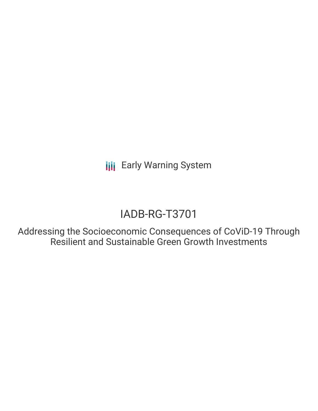**III** Early Warning System

# IADB-RG-T3701

Addressing the Socioeconomic Consequences of CoViD-19 Through Resilient and Sustainable Green Growth Investments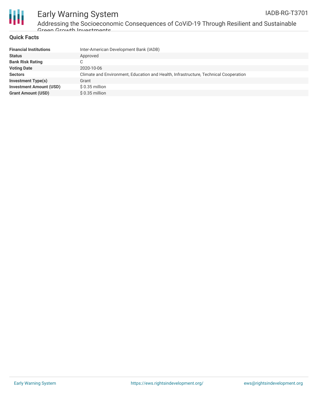

#### Early Warning System IADB-RG-T3701

#### **Quick Facts**

| Inter-American Development Bank (IADB)                                               |
|--------------------------------------------------------------------------------------|
| Approved                                                                             |
| C                                                                                    |
| 2020-10-06                                                                           |
| Climate and Environment, Education and Health, Infrastructure, Technical Cooperation |
| Grant                                                                                |
| $$0.35$ million                                                                      |
| $$0.35$ million                                                                      |
|                                                                                      |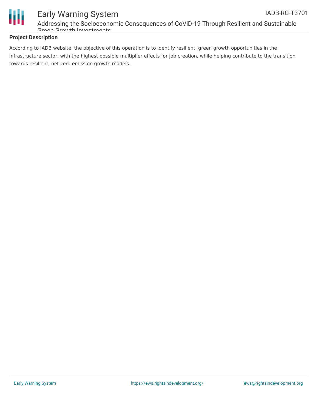



### Early Warning System Addressing the Socioeconomic Consequences of CoViD-19 Through Resilient and Sustainable Groon Growth Invoetmante

#### **Project Description**

According to IADB website, the objective of this operation is to identify resilient, green growth opportunities in the infrastructure sector, with the highest possible multiplier effects for job creation, while helping contribute to the transition towards resilient, net zero emission growth models.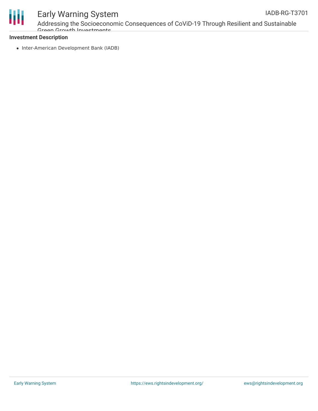

## Early Warning System

Addressing the Socioeconomic Consequences of CoViD-19 Through Resilient and Sustainable Groon Growth Invoetmante

#### **Investment Description**

• Inter-American Development Bank (IADB)